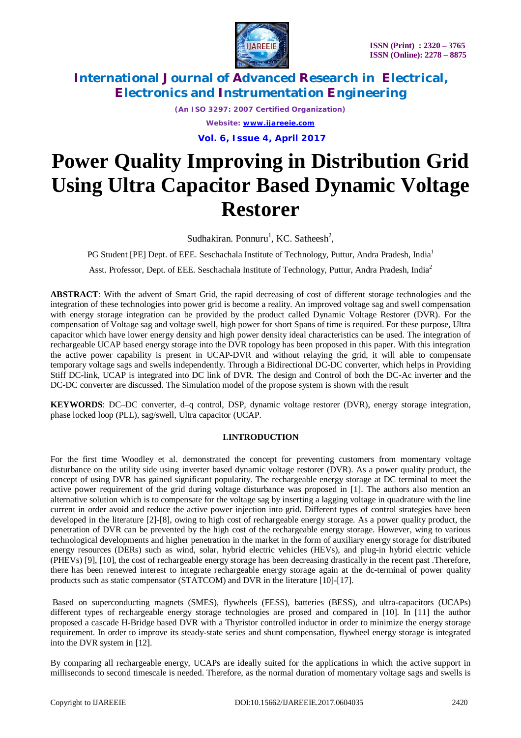

*(An ISO 3297: 2007 Certified Organization) Website: [www.ijareeie.com](http://www.ijareeie.com)* **Vol. 6, Issue 4, April 2017**

# **Power Quality Improving in Distribution Grid Using Ultra Capacitor Based Dynamic Voltage Restorer**

Sudhakiran. Ponnuru<sup>1</sup>, KC. Satheesh<sup>2</sup>,

PG Student [PE] Dept. of EEE*.* Seschachala Institute of Technology, Puttur, Andra Pradesh, India<sup>1</sup>

Asst. Professor, Dept. of EEE*.* Seschachala Institute of Technology, Puttur, Andra Pradesh, India<sup>2</sup>

**ABSTRACT**: With the advent of Smart Grid, the rapid decreasing of cost of different storage technologies and the integration of these technologies into power grid is become a reality. An improved voltage sag and swell compensation with energy storage integration can be provided by the product called Dynamic Voltage Restorer (DVR). For the compensation of Voltage sag and voltage swell, high power for short Spans of time is required. For these purpose, Ultra capacitor which have lower energy density and high power density ideal characteristics can be used. The integration of rechargeable UCAP based energy storage into the DVR topology has been proposed in this paper. With this integration the active power capability is present in UCAP-DVR and without relaying the grid, it will able to compensate temporary voltage sags and swells independently. Through a Bidirectional DC-DC converter, which helps in Providing Stiff DC-link, UCAP is integrated into DC link of DVR. The design and Control of both the DC-Ac inverter and the DC-DC converter are discussed. The Simulation model of the propose system is shown with the result

**KEYWORDS**: DC–DC converter, d–q control, DSP, dynamic voltage restorer (DVR), energy storage integration, phase locked loop (PLL), sag/swell, Ultra capacitor (UCAP.

# **I.INTRODUCTION**

For the first time Woodley et al. demonstrated the concept for preventing customers from momentary voltage disturbance on the utility side using inverter based dynamic voltage restorer (DVR). As a power quality product, the concept of using DVR has gained significant popularity. The rechargeable energy storage at DC terminal to meet the active power requirement of the grid during voltage disturbance was proposed in [1]. The authors also mention an alternative solution which is to compensate for the voltage sag by inserting a lagging voltage in quadrature with the line current in order avoid and reduce the active power injection into grid. Different types of control strategies have been developed in the literature [2]-[8], owing to high cost of rechargeable energy storage. As a power quality product, the penetration of DVR can be prevented by the high cost of the rechargeable energy storage. However, wing to various technological developments and higher penetration in the market in the form of auxiliary energy storage for distributed energy resources (DERs) such as wind, solar, hybrid electric vehicles (HEVs), and plug-in hybrid electric vehicle (PHEVs) [9], [10], the cost of rechargeable energy storage has been decreasing drastically in the recent past .Therefore, there has been renewed interest to integrate rechargeable energy storage again at the dc-terminal of power quality products such as static compensator (STATCOM) and DVR in the literature [10]-[17].

Based on superconducting magnets (SMES), flywheels (FESS), batteries (BESS), and ultra-capacitors (UCAPs) different types of rechargeable energy storage technologies are prosed and compared in [10]. In [11] the author proposed a cascade H-Bridge based DVR with a Thyristor controlled inductor in order to minimize the energy storage requirement. In order to improve its steady-state series and shunt compensation, flywheel energy storage is integrated into the DVR system in [12].

By comparing all rechargeable energy, UCAPs are ideally suited for the applications in which the active support in milliseconds to second timescale is needed. Therefore, as the normal duration of momentary voltage sags and swells is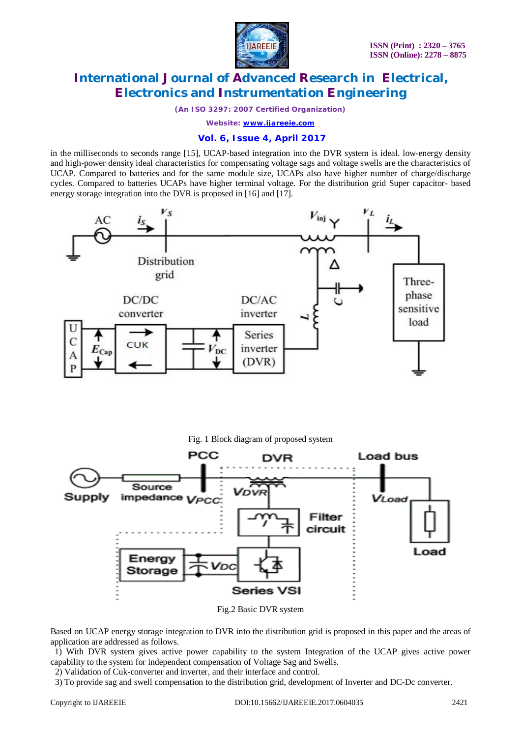

*(An ISO 3297: 2007 Certified Organization)*

*Website: [www.ijareeie.com](http://www.ijareeie.com)*

## **Vol. 6, Issue 4, April 2017**

in the milliseconds to seconds range [15], UCAP-based integration into the DVR system is ideal. low-energy density and high-power density ideal characteristics for compensating voltage sags and voltage swells are the characteristics of UCAP. Compared to batteries and for the same module size, UCAPs also have higher number of charge/discharge cycles. Compared to batteries UCAPs have higher terminal voltage. For the distribution grid Super capacitor- based energy storage integration into the DVR is proposed in [16] and [17].





Fig.2 Basic DVR system

Based on UCAP energy storage integration to DVR into the distribution grid is proposed in this paper and the areas of application are addressed as follows.

 1) With DVR system gives active power capability to the system Integration of the UCAP gives active power capability to the system for independent compensation of Voltage Sag and Swells.

2) Validation of Cuk-converter and inverter, and their interface and control.

3) To provide sag and swell compensation to the distribution grid, development of Inverter and DC-Dc converter.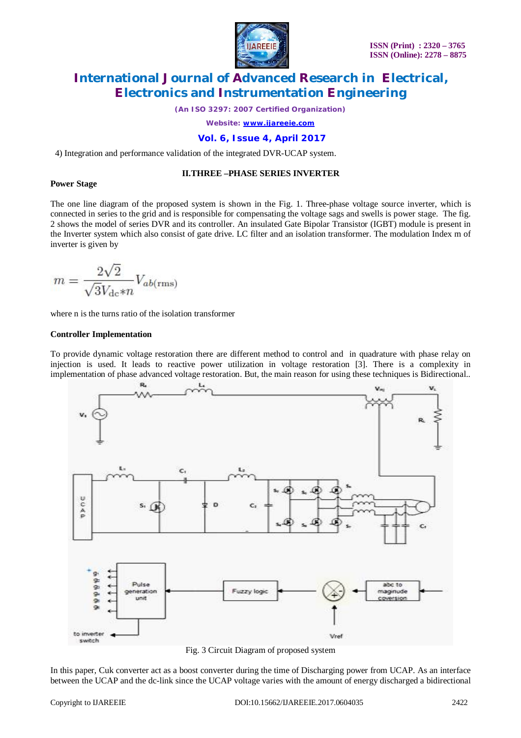

*(An ISO 3297: 2007 Certified Organization)*

*Website: [www.ijareeie.com](http://www.ijareeie.com)*

# **Vol. 6, Issue 4, April 2017**

4) Integration and performance validation of the integrated DVR-UCAP system.

## **II.THREE –PHASE SERIES INVERTER**

#### **Power Stage**

The one line diagram of the proposed system is shown in the Fig. 1. Three-phase voltage source inverter, which is connected in series to the grid and is responsible for compensating the voltage sags and swells is power stage. The fig. 2 shows the model of series DVR and its controller. An insulated Gate Bipolar Transistor (IGBT) module is present in the Inverter system which also consist of gate drive. LC filter and an isolation transformer. The modulation Index m of inverter is given by

$$
m = \frac{2\sqrt{2}}{\sqrt{3}V_{\text{dc}} * n} V_{ab(\text{rms})}
$$

where n is the turns ratio of the isolation transformer

## **Controller Implementation**

To provide dynamic voltage restoration there are different method to control and in quadrature with phase relay on injection is used. It leads to reactive power utilization in voltage restoration [3]. There is a complexity in implementation of phase advanced voltage restoration. But, the main reason for using these techniques is Bidirectional..



Fig. 3 Circuit Diagram of proposed system

In this paper, Cuk converter act as a boost converter during the time of Discharging power from UCAP. As an interface between the UCAP and the dc-link since the UCAP voltage varies with the amount of energy discharged a bidirectional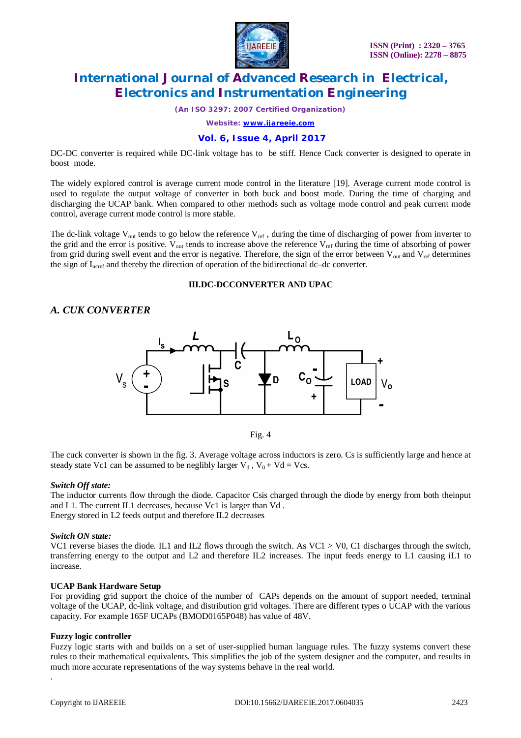

*(An ISO 3297: 2007 Certified Organization)*

*Website: [www.ijareeie.com](http://www.ijareeie.com)*

## **Vol. 6, Issue 4, April 2017**

DC-DC converter is required while DC-link voltage has to be stiff. Hence Cuck converter is designed to operate in boost mode.

The widely explored control is average current mode control in the literature [19]. Average current mode control is used to regulate the output voltage of converter in both buck and boost mode. During the time of charging and discharging the UCAP bank. When compared to other methods such as voltage mode control and peak current mode control, average current mode control is more stable.

The dc-link voltage  $V_{out}$  tends to go below the reference  $V_{ref}$ , during the time of discharging of power from inverter to the grid and the error is positive.  $V_{out}$  tends to increase above the reference  $V_{ref}$  during the time of absorbing of power from grid during swell event and the error is negative. Therefore, the sign of the error between  $V_{out}$  and  $V_{ref}$  determines the sign of I<sub>ucref</sub> and thereby the direction of operation of the bidirectional dc–dc converter.

## **III.DC-DCCONVERTER AND UPAC**

# *A. CUK CONVERTER*





The cuck converter is shown in the fig. 3. Average voltage across inductors is zero. Cs is sufficiently large and hence at steady state Vc1 can be assumed to be neglibly larger  $V_d$ ,  $V_0 + Vd = Vcs$ .

#### *Switch Off state:*

The inductor currents flow through the diode. Capacitor Csis charged through the diode by energy from both theinput and L1. The current IL1 decreases, because Vc1 is larger than Vd . Energy stored in L2 feeds output and therefore IL2 decreases

## *Switch ON state:*

VC1 reverse biases the diode. IL1 and IL2 flows through the switch. As VC1 > V0, C1 discharges through the switch, transferring energy to the output and L2 and therefore IL2 increases. The input feeds energy to L1 causing iL1 to increase.

## **UCAP Bank Hardware Setup**

For providing grid support the choice of the number of CAPs depends on the amount of support needed, terminal voltage of the UCAP, dc-link voltage, and distribution grid voltages. There are different types o UCAP with the various capacity. For example 165F UCAPs (BMOD0165P048) has value of 48V.

## **Fuzzy logic controller**

Fuzzy logic starts with and builds on a set of user-supplied human language rules. The fuzzy systems convert these rules to their mathematical equivalents. This simplifies the job of the system designer and the computer, and results in much more accurate representations of the way systems behave in the real world.

.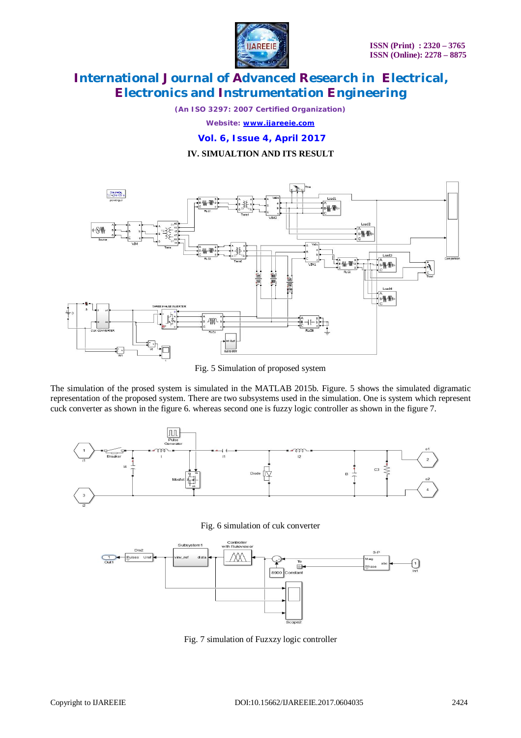

*(An ISO 3297: 2007 Certified Organization)*

*Website: [www.ijareeie.com](http://www.ijareeie.com)*

**Vol. 6, Issue 4, April 2017**

**IV. SIMUALTION AND ITS RESULT**



Fig. 5 Simulation of proposed system

The simulation of the prosed system is simulated in the MATLAB 2015b. Figure. 5 shows the simulated digramatic representation of the proposed system. There are two subsystems used in the simulation. One is system which represent cuck converter as shown in the figure 6. whereas second one is fuzzy logic controller as shown in the figure 7.



Fig. 6 simulation of cuk converter



Fig. 7 simulation of Fuzxzy logic controller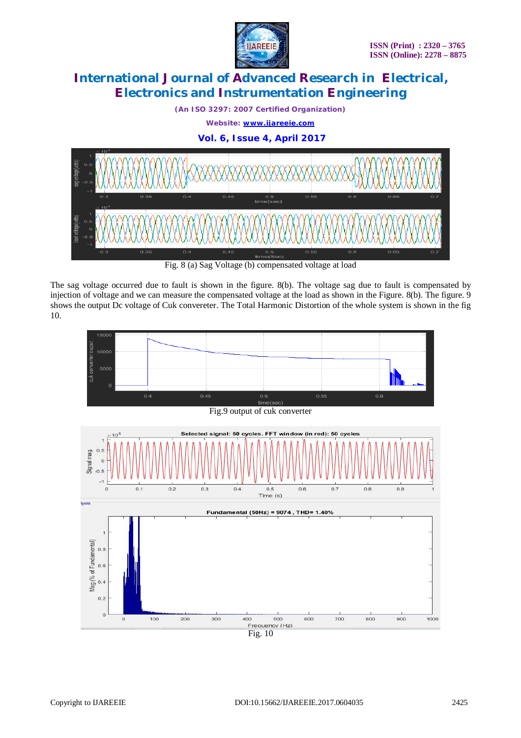

*(An ISO 3297: 2007 Certified Organization) Website: [www.ijareeie.com](http://www.ijareeie.com)*

**Vol. 6, Issue 4, April 2017**



Fig. 8 (a) Sag Voltage (b) compensated voltage at load

The sag voltage occurred due to fault is shown in the figure. 8(b). The voltage sag due to fault is compensated by injection of voltage and we can measure the compensated voltage at the load as shown in the Figure. 8(b). The figure. 9 shows the output Dc voltage of Cuk convereter. The Total Harmonic Distortion of the whole system is shown in the fig 10.